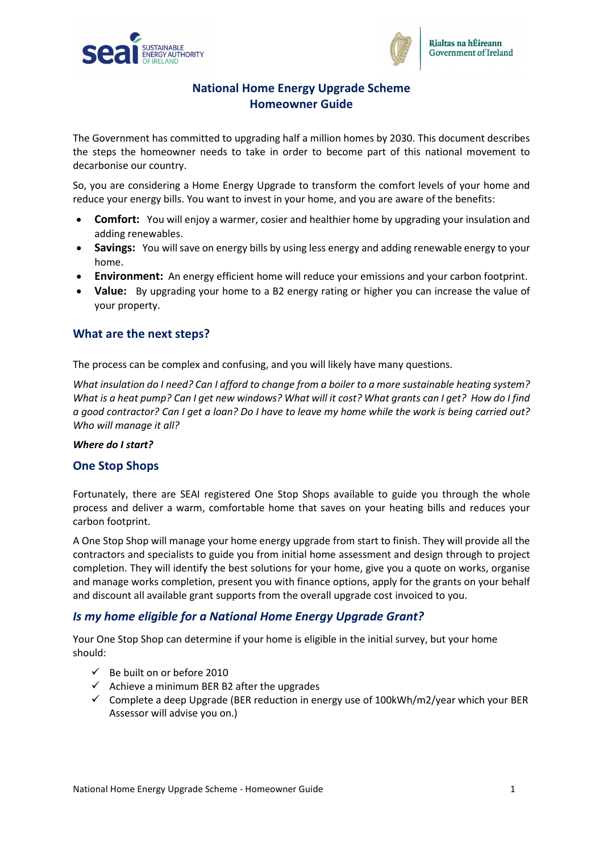



# **National Home Energy Upgrade Scheme Homeowner Guide**

The Government has committed to upgrading half a million homes by 2030. This document describes the steps the homeowner needs to take in order to become part of this national movement to decarbonise our country.

So, you are considering a Home Energy Upgrade to transform the comfort levels of your home and reduce your energy bills. You want to invest in your home, and you are aware of the benefits:

- **Comfort:** You will enjoy a warmer, cosier and healthier home by upgrading your insulation and adding renewables.
- **Savings:** You will save on energy bills by using less energy and adding renewable energy to your home.
- **Environment:** An energy efficient home will reduce your emissions and your carbon footprint.
- **Value:** By upgrading your home to a B2 energy rating or higher you can increase the value of your property.

## **What are the next steps?**

The process can be complex and confusing, and you will likely have many questions.

*What insulation do I need? Can I afford to change from a boiler to a more sustainable heating system? What is a heat pump? Can I get new windows? What will it cost? What grants can I get? How do I find a good contractor? Can I get a loan? Do I have to leave my home while the work is being carried out? Who will manage it all?*

#### *Where do I start?*

#### **One Stop Shops**

Fortunately, there are SEAI registered One Stop Shops available to guide you through the whole process and deliver a warm, comfortable home that saves on your heating bills and reduces your carbon footprint.

A One Stop Shop will manage your home energy upgrade from start to finish. They will provide all the contractors and specialists to guide you from initial home assessment and design through to project completion. They will identify the best solutions for your home, give you a quote on works, organise and manage works completion, present you with finance options, apply for the grants on your behalf and discount all available grant supports from the overall upgrade cost invoiced to you.

## *Is my home eligible for a National Home Energy Upgrade Grant?*

Your One Stop Shop can determine if your home is eligible in the initial survey, but your home should:

- $\checkmark$  Be built on or before 2010
- $\checkmark$  Achieve a minimum BER B2 after the upgrades
- $\checkmark$  Complete a deep Upgrade (BER reduction in energy use of 100kWh/m2/year which your BER Assessor will advise you on.)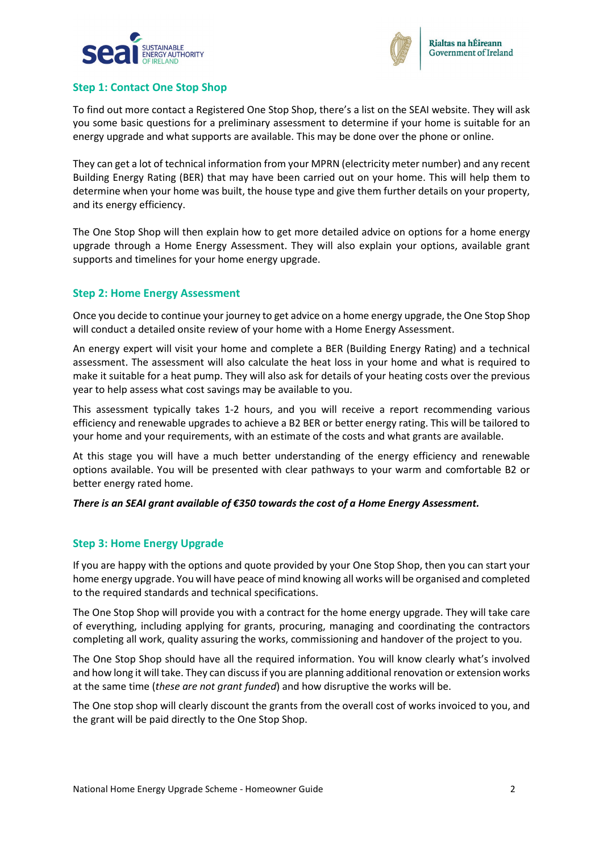



### **Step 1: Contact One Stop Shop**

To find out more contact a Registered One Stop Shop, there's a list on the SEAI website. They will ask you some basic questions for a preliminary assessment to determine if your home is suitable for an energy upgrade and what supports are available. This may be done over the phone or online.

They can get a lot of technical information from your MPRN (electricity meter number) and any recent Building Energy Rating (BER) that may have been carried out on your home. This will help them to determine when your home was built, the house type and give them further details on your property, and its energy efficiency.

The One Stop Shop will then explain how to get more detailed advice on options for a home energy upgrade through a Home Energy Assessment. They will also explain your options, available grant supports and timelines for your home energy upgrade.

#### **Step 2: Home Energy Assessment**

Once you decide to continue your journey to get advice on a home energy upgrade, the One Stop Shop will conduct a detailed onsite review of your home with a Home Energy Assessment.

An energy expert will visit your home and complete a BER (Building Energy Rating) and a technical assessment. The assessment will also calculate the heat loss in your home and what is required to make it suitable for a heat pump. They will also ask for details of your heating costs over the previous year to help assess what cost savings may be available to you.

This assessment typically takes 1-2 hours, and you will receive a report recommending various efficiency and renewable upgrades to achieve a B2 BER or better energy rating. This will be tailored to your home and your requirements, with an estimate of the costs and what grants are available.

At this stage you will have a much better understanding of the energy efficiency and renewable options available. You will be presented with clear pathways to your warm and comfortable B2 or better energy rated home.

#### *There is an SEAI grant available of €350 towards the cost of a Home Energy Assessment.*

#### **Step 3: Home Energy Upgrade**

If you are happy with the options and quote provided by your One Stop Shop, then you can start your home energy upgrade. You will have peace of mind knowing all works will be organised and completed to the required standards and technical specifications.

The One Stop Shop will provide you with a contract for the home energy upgrade. They will take care of everything, including applying for grants, procuring, managing and coordinating the contractors completing all work, quality assuring the works, commissioning and handover of the project to you.

The One Stop Shop should have all the required information. You will know clearly what's involved and how long it will take. They can discuss if you are planning additional renovation or extension works at the same time (*these are not grant funded*) and how disruptive the works will be.

The One stop shop will clearly discount the grants from the overall cost of works invoiced to you, and the grant will be paid directly to the One Stop Shop.